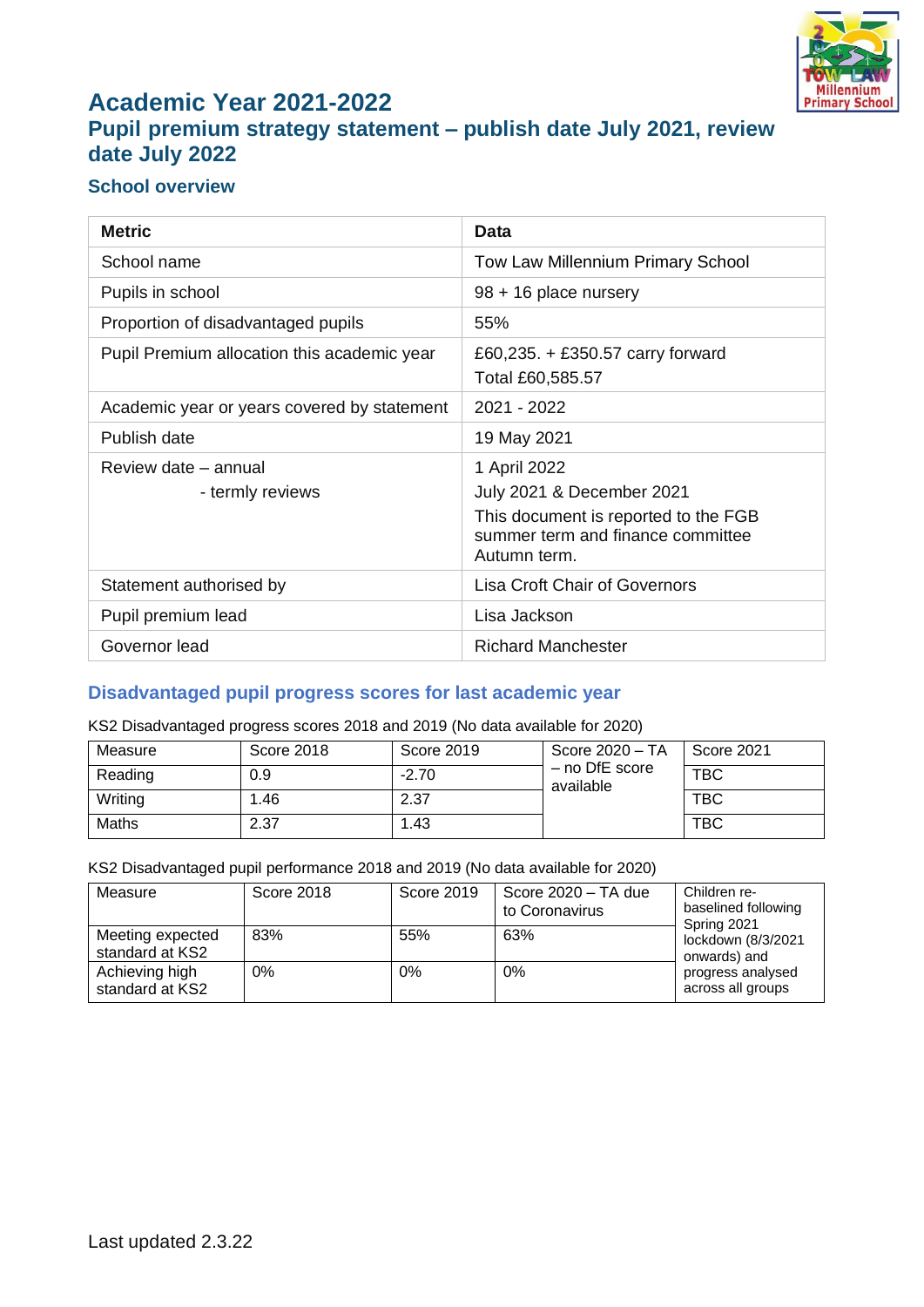

## **Academic Year 2021-2022 Pupil premium strategy statement – publish date July 2021, review date July 2022**

### **School overview**

| <b>Metric</b>                               | Data                                                                                                                                   |
|---------------------------------------------|----------------------------------------------------------------------------------------------------------------------------------------|
| School name                                 | Tow Law Millennium Primary School                                                                                                      |
| Pupils in school                            | 98 + 16 place nursery                                                                                                                  |
| Proportion of disadvantaged pupils          | 55%                                                                                                                                    |
| Pupil Premium allocation this academic year | £60,235. $+$ £350.57 carry forward<br>Total £60,585.57                                                                                 |
| Academic year or years covered by statement | 2021 - 2022                                                                                                                            |
| Publish date                                | 19 May 2021                                                                                                                            |
| Review date - annual<br>- termly reviews    | 1 April 2022<br>July 2021 & December 2021<br>This document is reported to the FGB<br>summer term and finance committee<br>Autumn term. |
| Statement authorised by                     | <b>Lisa Croft Chair of Governors</b>                                                                                                   |
| Pupil premium lead                          | Lisa Jackson                                                                                                                           |
| Governor lead                               | <b>Richard Manchester</b>                                                                                                              |

#### **Disadvantaged pupil progress scores for last academic year**

KS2 Disadvantaged progress scores 2018 and 2019 (No data available for 2020)

| Measure | <b>Score 2018</b> | Score 2019 | Score 2020 - TA               | Score 2021 |
|---------|-------------------|------------|-------------------------------|------------|
| Reading | 0.9               | $-2.70$    | $-$ no DfE score<br>available | <b>TBC</b> |
| Writing | 1.46              | 2.37       |                               | <b>TBC</b> |
| Maths   | 2.37              | 1.43       |                               | <b>TBC</b> |

KS2 Disadvantaged pupil performance 2018 and 2019 (No data available for 2020)

| Measure                             | Score 2018 | Score 2019 | Score 2020 - TA due<br>to Coronavirus | Children re-<br>baselined following<br>Spring 2021 |
|-------------------------------------|------------|------------|---------------------------------------|----------------------------------------------------|
| Meeting expected<br>standard at KS2 | 83%        | 55%        | 63%                                   | lockdown (8/3/2021<br>onwards) and                 |
| Achieving high<br>standard at KS2   | 0%         | 0%         | $0\%$                                 | progress analysed<br>across all groups             |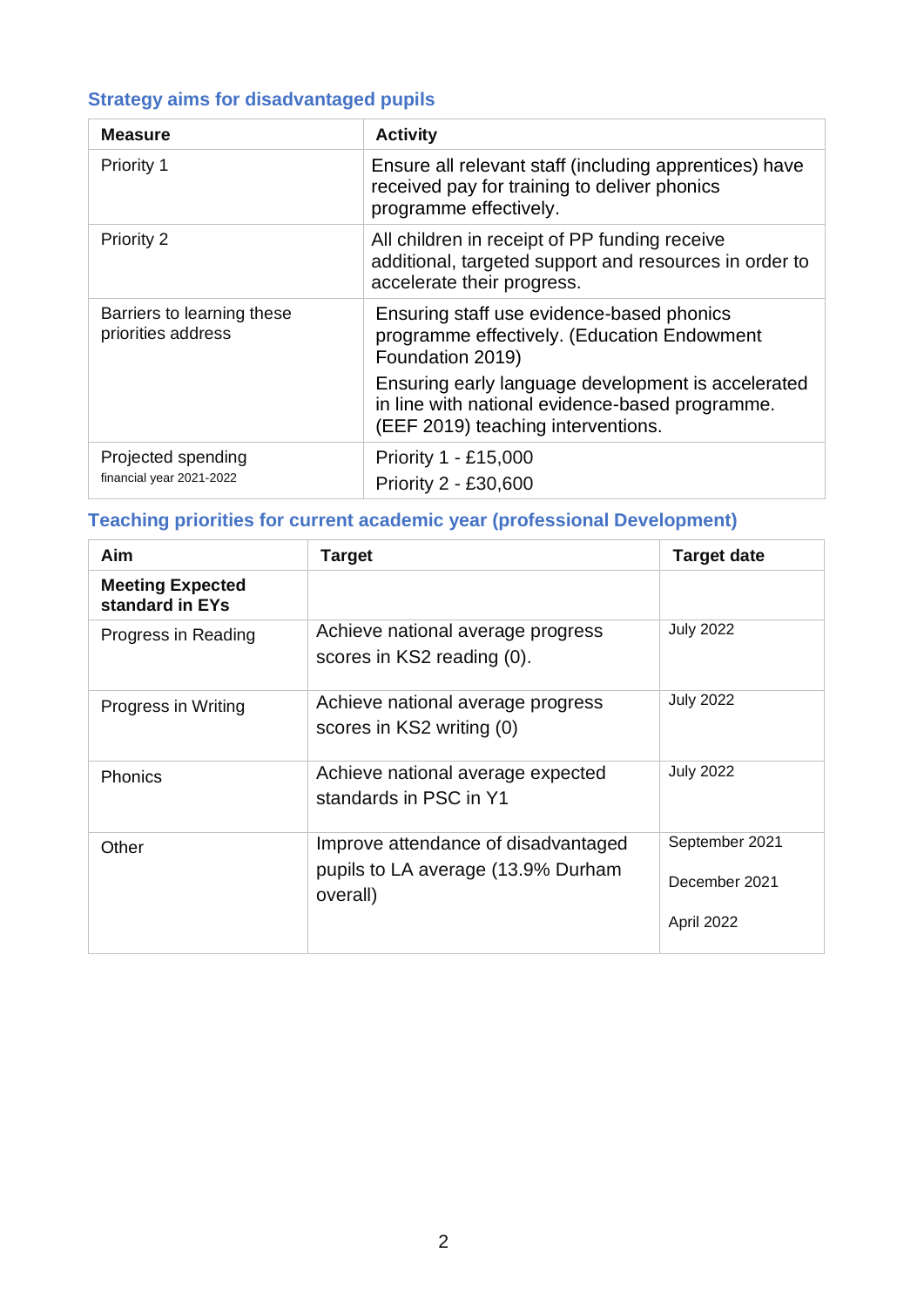# **Strategy aims for disadvantaged pupils**

| <b>Measure</b>                                   | <b>Activity</b>                                                                                                                             |
|--------------------------------------------------|---------------------------------------------------------------------------------------------------------------------------------------------|
| Priority 1                                       | Ensure all relevant staff (including apprentices) have<br>received pay for training to deliver phonics<br>programme effectively.            |
| Priority 2                                       | All children in receipt of PP funding receive<br>additional, targeted support and resources in order to<br>accelerate their progress.       |
| Barriers to learning these<br>priorities address | Ensuring staff use evidence-based phonics<br>programme effectively. (Education Endowment<br>Foundation 2019)                                |
|                                                  | Ensuring early language development is accelerated<br>in line with national evidence-based programme.<br>(EEF 2019) teaching interventions. |
| Projected spending<br>financial year 2021-2022   | Priority 1 - £15,000<br>Priority 2 - £30,600                                                                                                |

### **Teaching priorities for current academic year (professional Development)**

| Aim                                        | <b>Target</b>                                                                         | <b>Target date</b>                            |
|--------------------------------------------|---------------------------------------------------------------------------------------|-----------------------------------------------|
| <b>Meeting Expected</b><br>standard in EYs |                                                                                       |                                               |
| Progress in Reading                        | Achieve national average progress<br>scores in KS2 reading (0).                       | <b>July 2022</b>                              |
| Progress in Writing                        | Achieve national average progress<br>scores in KS2 writing (0)                        | <b>July 2022</b>                              |
| <b>Phonics</b>                             | Achieve national average expected<br>standards in PSC in Y1                           | <b>July 2022</b>                              |
| Other                                      | Improve attendance of disadvantaged<br>pupils to LA average (13.9% Durham<br>overall) | September 2021<br>December 2021<br>April 2022 |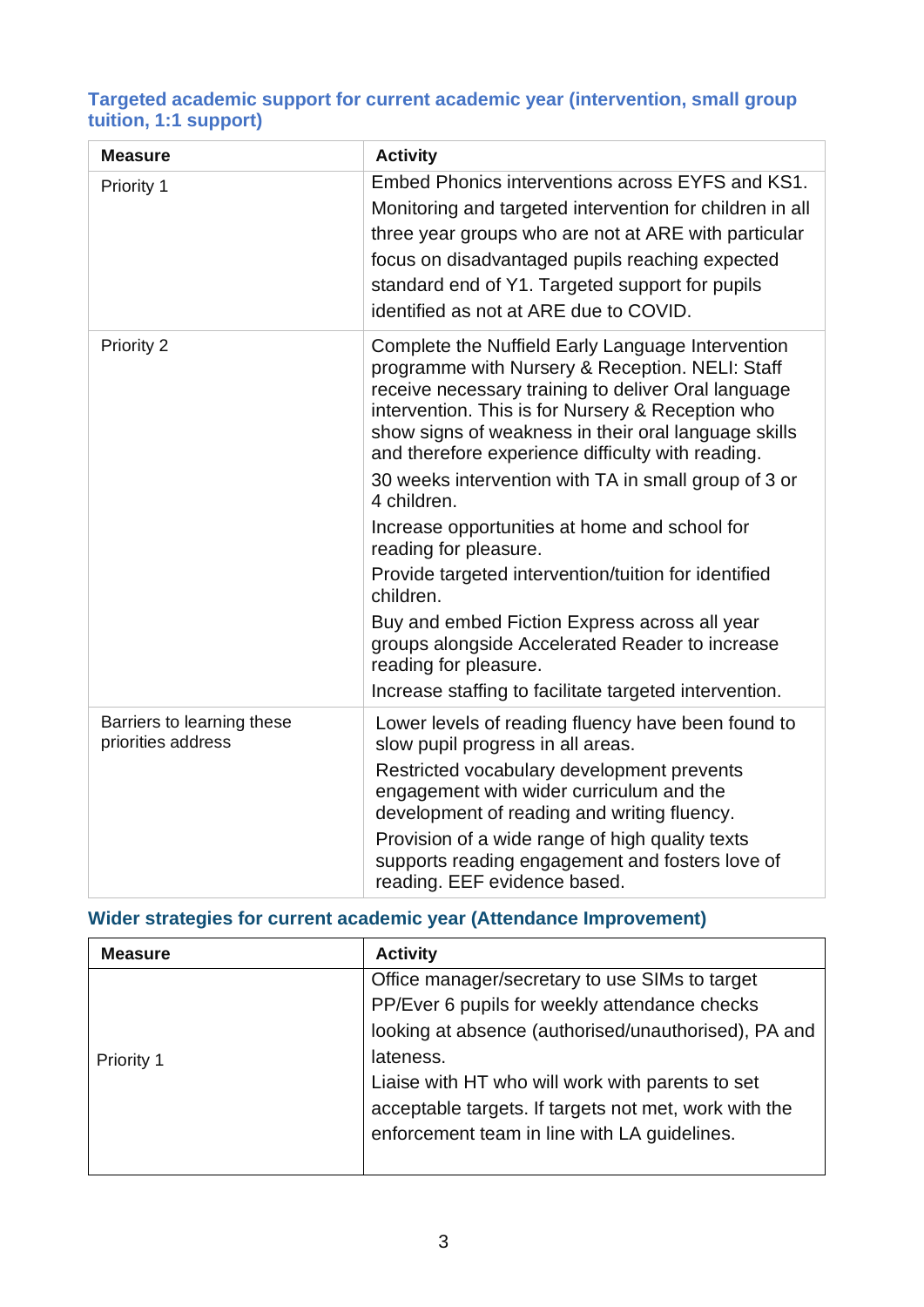### **Targeted academic support for current academic year (intervention, small group tuition, 1:1 support)**

| <b>Measure</b>                                   | <b>Activity</b>                                                                                                                                                                                                                                                                                                                                                                                                                                                                                                                                                                                                                                                                                                                            |
|--------------------------------------------------|--------------------------------------------------------------------------------------------------------------------------------------------------------------------------------------------------------------------------------------------------------------------------------------------------------------------------------------------------------------------------------------------------------------------------------------------------------------------------------------------------------------------------------------------------------------------------------------------------------------------------------------------------------------------------------------------------------------------------------------------|
| Priority 1                                       | Embed Phonics interventions across EYFS and KS1.<br>Monitoring and targeted intervention for children in all<br>three year groups who are not at ARE with particular<br>focus on disadvantaged pupils reaching expected<br>standard end of Y1. Targeted support for pupils<br>identified as not at ARE due to COVID.                                                                                                                                                                                                                                                                                                                                                                                                                       |
| Priority 2                                       | Complete the Nuffield Early Language Intervention<br>programme with Nursery & Reception. NELI: Staff<br>receive necessary training to deliver Oral language<br>intervention. This is for Nursery & Reception who<br>show signs of weakness in their oral language skills<br>and therefore experience difficulty with reading.<br>30 weeks intervention with TA in small group of 3 or<br>4 children.<br>Increase opportunities at home and school for<br>reading for pleasure.<br>Provide targeted intervention/tuition for identified<br>children.<br>Buy and embed Fiction Express across all year<br>groups alongside Accelerated Reader to increase<br>reading for pleasure.<br>Increase staffing to facilitate targeted intervention. |
| Barriers to learning these<br>priorities address | Lower levels of reading fluency have been found to<br>slow pupil progress in all areas.<br>Restricted vocabulary development prevents<br>engagement with wider curriculum and the<br>development of reading and writing fluency.<br>Provision of a wide range of high quality texts<br>supports reading engagement and fosters love of<br>reading. EEF evidence based.                                                                                                                                                                                                                                                                                                                                                                     |

### **Wider strategies for current academic year (Attendance Improvement)**

| <b>Measure</b>    | <b>Activity</b>                                       |
|-------------------|-------------------------------------------------------|
|                   | Office manager/secretary to use SIMs to target        |
|                   | PP/Ever 6 pupils for weekly attendance checks         |
|                   | looking at absence (authorised/unauthorised), PA and  |
| <b>Priority 1</b> | lateness.                                             |
|                   | Liaise with HT who will work with parents to set      |
|                   | acceptable targets. If targets not met, work with the |
|                   | enforcement team in line with LA guidelines.          |
|                   |                                                       |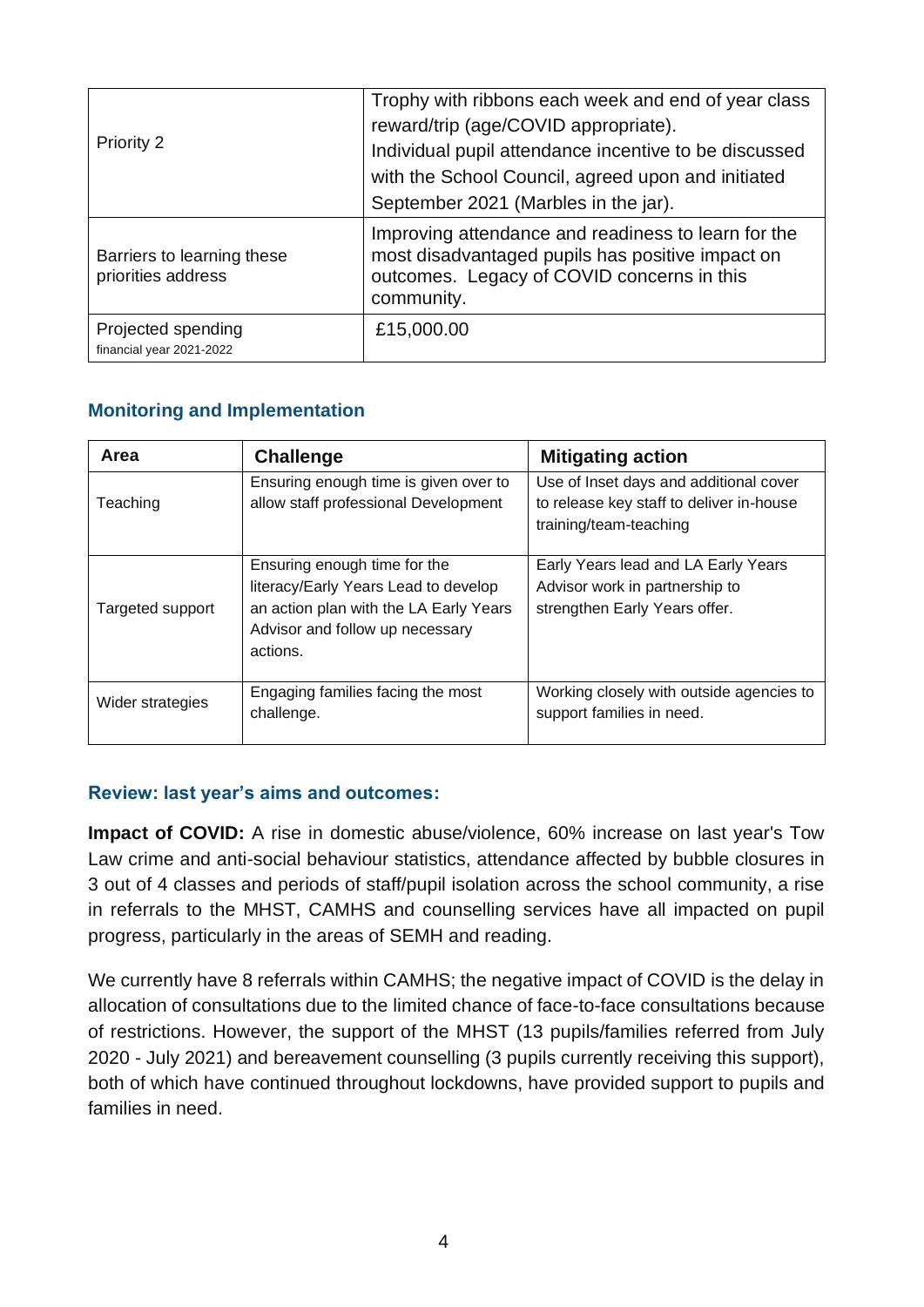| <b>Priority 2</b>                                | Trophy with ribbons each week and end of year class<br>reward/trip (age/COVID appropriate).<br>Individual pupil attendance incentive to be discussed<br>with the School Council, agreed upon and initiated<br>September 2021 (Marbles in the jar). |
|--------------------------------------------------|----------------------------------------------------------------------------------------------------------------------------------------------------------------------------------------------------------------------------------------------------|
| Barriers to learning these<br>priorities address | Improving attendance and readiness to learn for the<br>most disadvantaged pupils has positive impact on<br>outcomes. Legacy of COVID concerns in this<br>community.                                                                                |
| Projected spending<br>financial year 2021-2022   | £15,000.00                                                                                                                                                                                                                                         |

### **Monitoring and Implementation**

| Area             | <b>Challenge</b>                                                                                                                                              | <b>Mitigating action</b>                                                                                     |
|------------------|---------------------------------------------------------------------------------------------------------------------------------------------------------------|--------------------------------------------------------------------------------------------------------------|
| Teaching         | Ensuring enough time is given over to<br>allow staff professional Development                                                                                 | Use of Inset days and additional cover<br>to release key staff to deliver in-house<br>training/team-teaching |
| Targeted support | Ensuring enough time for the<br>literacy/Early Years Lead to develop<br>an action plan with the LA Early Years<br>Advisor and follow up necessary<br>actions. | Early Years lead and LA Early Years<br>Advisor work in partnership to<br>strengthen Early Years offer.       |
| Wider strategies | Engaging families facing the most<br>challenge.                                                                                                               | Working closely with outside agencies to<br>support families in need.                                        |

#### **Review: last year's aims and outcomes:**

**Impact of COVID:** A rise in domestic abuse/violence, 60% increase on last year's Tow Law crime and anti-social behaviour statistics, attendance affected by bubble closures in 3 out of 4 classes and periods of staff/pupil isolation across the school community, a rise in referrals to the MHST, CAMHS and counselling services have all impacted on pupil progress, particularly in the areas of SEMH and reading.

We currently have 8 referrals within CAMHS; the negative impact of COVID is the delay in allocation of consultations due to the limited chance of face-to-face consultations because of restrictions. However, the support of the MHST (13 pupils/families referred from July 2020 - July 2021) and bereavement counselling (3 pupils currently receiving this support), both of which have continued throughout lockdowns, have provided support to pupils and families in need.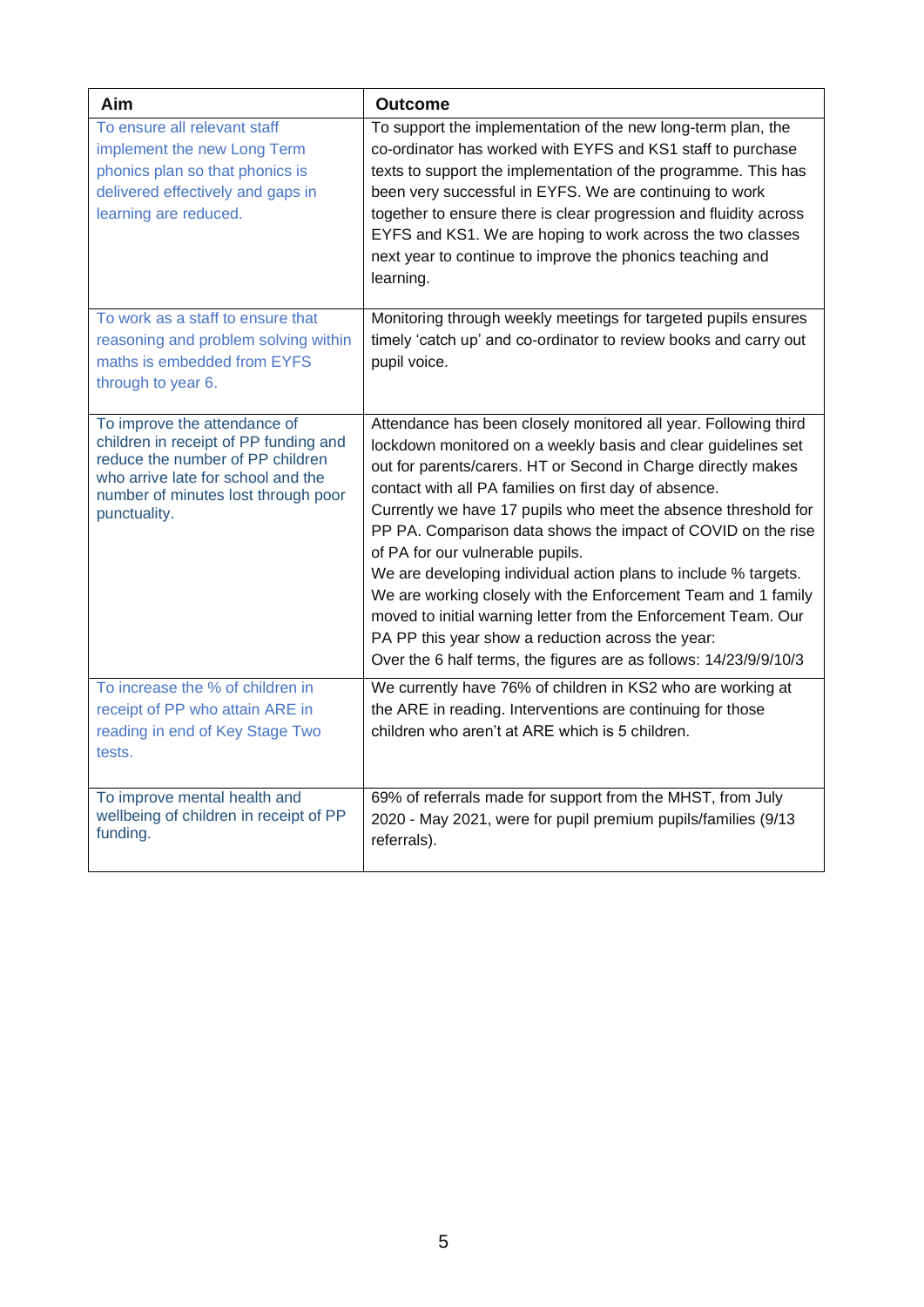| Aim                                                                                                                                                                                                    | <b>Outcome</b>                                                                                                                                                                                                                                                                                                                                                                                                                                                                                                                                                                                                                                                                                                                                                   |
|--------------------------------------------------------------------------------------------------------------------------------------------------------------------------------------------------------|------------------------------------------------------------------------------------------------------------------------------------------------------------------------------------------------------------------------------------------------------------------------------------------------------------------------------------------------------------------------------------------------------------------------------------------------------------------------------------------------------------------------------------------------------------------------------------------------------------------------------------------------------------------------------------------------------------------------------------------------------------------|
| To ensure all relevant staff<br>implement the new Long Term<br>phonics plan so that phonics is<br>delivered effectively and gaps in<br>learning are reduced.                                           | To support the implementation of the new long-term plan, the<br>co-ordinator has worked with EYFS and KS1 staff to purchase<br>texts to support the implementation of the programme. This has<br>been very successful in EYFS. We are continuing to work<br>together to ensure there is clear progression and fluidity across<br>EYFS and KS1. We are hoping to work across the two classes<br>next year to continue to improve the phonics teaching and<br>learning.                                                                                                                                                                                                                                                                                            |
| To work as a staff to ensure that<br>reasoning and problem solving within<br>maths is embedded from EYFS<br>through to year 6.                                                                         | Monitoring through weekly meetings for targeted pupils ensures<br>timely 'catch up' and co-ordinator to review books and carry out<br>pupil voice.                                                                                                                                                                                                                                                                                                                                                                                                                                                                                                                                                                                                               |
| To improve the attendance of<br>children in receipt of PP funding and<br>reduce the number of PP children<br>who arrive late for school and the<br>number of minutes lost through poor<br>punctuality. | Attendance has been closely monitored all year. Following third<br>lockdown monitored on a weekly basis and clear guidelines set<br>out for parents/carers. HT or Second in Charge directly makes<br>contact with all PA families on first day of absence.<br>Currently we have 17 pupils who meet the absence threshold for<br>PP PA. Comparison data shows the impact of COVID on the rise<br>of PA for our vulnerable pupils.<br>We are developing individual action plans to include % targets.<br>We are working closely with the Enforcement Team and 1 family<br>moved to initial warning letter from the Enforcement Team. Our<br>PA PP this year show a reduction across the year:<br>Over the 6 half terms, the figures are as follows: 14/23/9/9/10/3 |
| To increase the % of children in<br>receipt of PP who attain ARE in<br>reading in end of Key Stage Two<br>tests.                                                                                       | We currently have 76% of children in KS2 who are working at<br>the ARE in reading. Interventions are continuing for those<br>children who aren't at ARE which is 5 children.                                                                                                                                                                                                                                                                                                                                                                                                                                                                                                                                                                                     |
| To improve mental health and<br>wellbeing of children in receipt of PP<br>funding.                                                                                                                     | 69% of referrals made for support from the MHST, from July<br>2020 - May 2021, were for pupil premium pupils/families (9/13<br>referrals).                                                                                                                                                                                                                                                                                                                                                                                                                                                                                                                                                                                                                       |